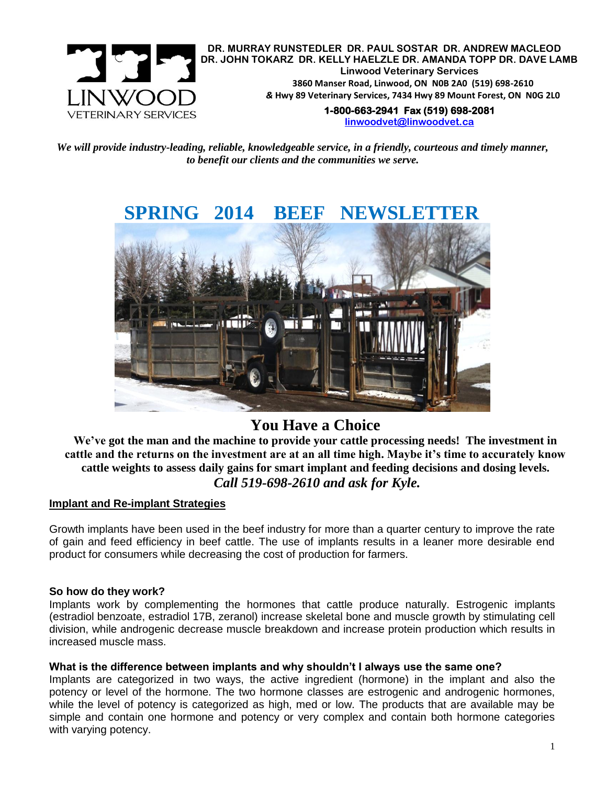

**DR. MURRAY RUNSTEDLER DR. PAUL SOSTAR DR. ANDREW MACLEOD DR. JOHN TOKARZ DR. KELLY HAELZLE DR. AMANDA TOPP DR. DAVE LAMB Linwood Veterinary Services 3860 Manser Road, Linwood, ON N0B 2A0 (519) 698-2610** *&* **Hwy 89 Veterinary Services, 7434 Hwy 89 Mount Forest, ON N0G 2L0 1-800-663-2941 Fax (519) 698-2081** 

**[linwoodvet@linwoodvet.ca](mailto:linwoodvet@linwoodvet.ca)**

*We will provide industry-leading, reliable, knowledgeable service, in a friendly, courteous and timely manner, to benefit our clients and the communities we serve.*



# **You Have a Choice**

**We've got the man and the machine to provide your cattle processing needs! The investment in cattle and the returns on the investment are at an all time high. Maybe it's time to accurately know cattle weights to assess daily gains for smart implant and feeding decisions and dosing levels.** *Call 519-698-2610 and ask for Kyle.*

# **Implant and Re-implant Strategies**

Growth implants have been used in the beef industry for more than a quarter century to improve the rate of gain and feed efficiency in beef cattle. The use of implants results in a leaner more desirable end product for consumers while decreasing the cost of production for farmers.

#### **So how do they work?**

Implants work by complementing the hormones that cattle produce naturally. Estrogenic implants (estradiol benzoate, estradiol 17B, zeranol) increase skeletal bone and muscle growth by stimulating cell division, while androgenic decrease muscle breakdown and increase protein production which results in increased muscle mass.

# **What is the difference between implants and why shouldn't I always use the same one?**

Implants are categorized in two ways, the active ingredient (hormone) in the implant and also the potency or level of the hormone. The two hormone classes are estrogenic and androgenic hormones, while the level of potency is categorized as high, med or low. The products that are available may be simple and contain one hormone and potency or very complex and contain both hormone categories with varying potency.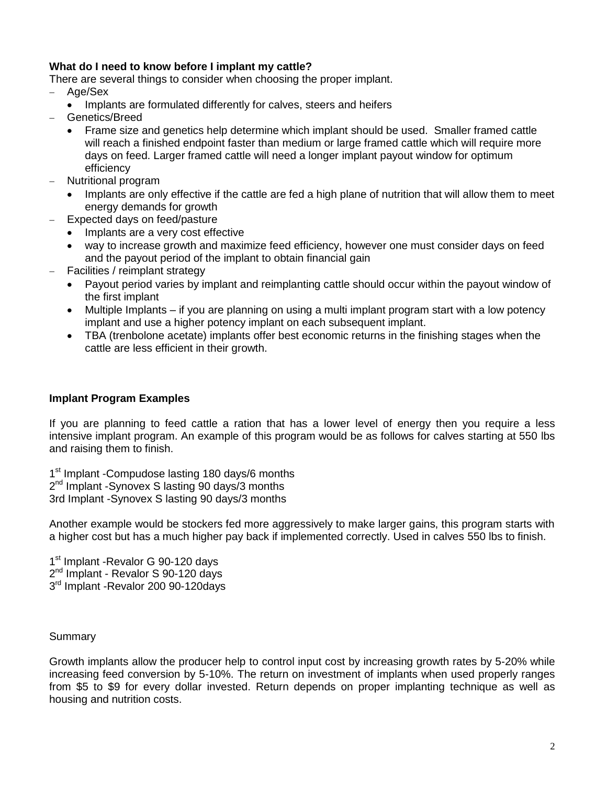# **What do I need to know before I implant my cattle?**

There are several things to consider when choosing the proper implant.

- Age/Sex
	- Implants are formulated differently for calves, steers and heifers
- Genetics/Breed
	- Frame size and genetics help determine which implant should be used. Smaller framed cattle will reach a finished endpoint faster than medium or large framed cattle which will require more days on feed. Larger framed cattle will need a longer implant payout window for optimum efficiency
- Nutritional program
	- Implants are only effective if the cattle are fed a high plane of nutrition that will allow them to meet energy demands for growth
- Expected days on feed/pasture
	- Implants are a very cost effective
	- way to increase growth and maximize feed efficiency, however one must consider days on feed and the payout period of the implant to obtain financial gain
- Facilities / reimplant strategy
	- Payout period varies by implant and reimplanting cattle should occur within the payout window of the first implant
	- Multiple Implants if you are planning on using a multi implant program start with a low potency implant and use a higher potency implant on each subsequent implant.
	- TBA (trenbolone acetate) implants offer best economic returns in the finishing stages when the cattle are less efficient in their growth.

## **Implant Program Examples**

If you are planning to feed cattle a ration that has a lower level of energy then you require a less intensive implant program. An example of this program would be as follows for calves starting at 550 lbs and raising them to finish.

1<sup>st</sup> Implant -Compudose lasting 180 days/6 months 2<sup>nd</sup> Implant -Synovex S lasting 90 days/3 months 3rd Implant -Synovex S lasting 90 days/3 months

Another example would be stockers fed more aggressively to make larger gains, this program starts with a higher cost but has a much higher pay back if implemented correctly. Used in calves 550 lbs to finish.

1<sup>st</sup> Implant - Revalor G 90-120 days 2<sup>nd</sup> Implant - Revalor S 90-120 days 3<sup>rd</sup> Implant -Revalor 200 90-120days

## Summary

Growth implants allow the producer help to control input cost by increasing growth rates by 5-20% while increasing feed conversion by 5-10%. The return on investment of implants when used properly ranges from \$5 to \$9 for every dollar invested. Return depends on proper implanting technique as well as housing and nutrition costs.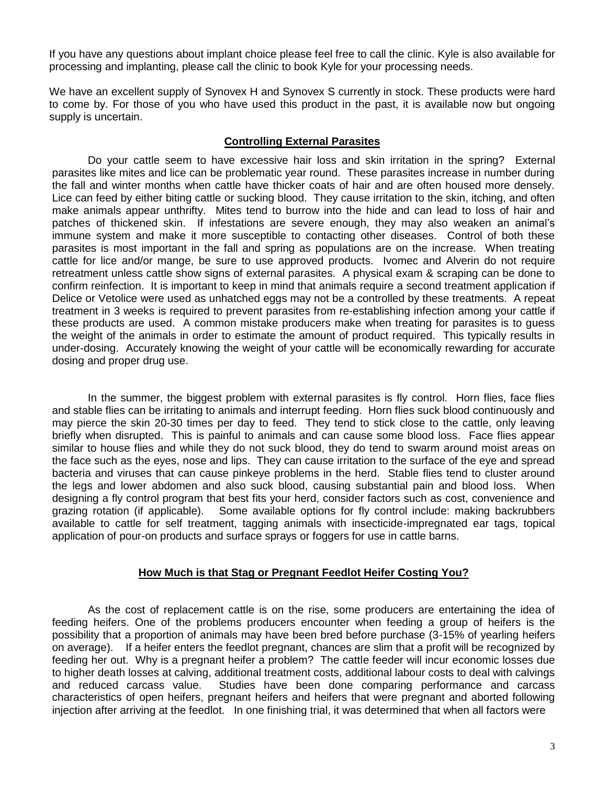If you have any questions about implant choice please feel free to call the clinic. Kyle is also available for processing and implanting, please call the clinic to book Kyle for your processing needs.

We have an excellent supply of Synovex H and Synovex S currently in stock. These products were hard to come by. For those of you who have used this product in the past, it is available now but ongoing supply is uncertain.

## **Controlling External Parasites**

Do your cattle seem to have excessive hair loss and skin irritation in the spring? External parasites like mites and lice can be problematic year round. These parasites increase in number during the fall and winter months when cattle have thicker coats of hair and are often housed more densely. Lice can feed by either biting cattle or sucking blood. They cause irritation to the skin, itching, and often make animals appear unthrifty. Mites tend to burrow into the hide and can lead to loss of hair and patches of thickened skin. If infestations are severe enough, they may also weaken an animal's immune system and make it more susceptible to contacting other diseases. Control of both these parasites is most important in the fall and spring as populations are on the increase. When treating cattle for lice and/or mange, be sure to use approved products. Ivomec and Alverin do not require retreatment unless cattle show signs of external parasites. A physical exam & scraping can be done to confirm reinfection. It is important to keep in mind that animals require a second treatment application if Delice or Vetolice were used as unhatched eggs may not be a controlled by these treatments. A repeat treatment in 3 weeks is required to prevent parasites from re-establishing infection among your cattle if these products are used. A common mistake producers make when treating for parasites is to guess the weight of the animals in order to estimate the amount of product required. This typically results in under-dosing. Accurately knowing the weight of your cattle will be economically rewarding for accurate dosing and proper drug use.

In the summer, the biggest problem with external parasites is fly control. Horn flies, face flies and stable flies can be irritating to animals and interrupt feeding. Horn flies suck blood continuously and may pierce the skin 20-30 times per day to feed. They tend to stick close to the cattle, only leaving briefly when disrupted. This is painful to animals and can cause some blood loss. Face flies appear similar to house flies and while they do not suck blood, they do tend to swarm around moist areas on the face such as the eyes, nose and lips. They can cause irritation to the surface of the eye and spread bacteria and viruses that can cause pinkeye problems in the herd. Stable flies tend to cluster around the legs and lower abdomen and also suck blood, causing substantial pain and blood loss. When designing a fly control program that best fits your herd, consider factors such as cost, convenience and grazing rotation (if applicable). Some available options for fly control include: making backrubbers available to cattle for self treatment, tagging animals with insecticide-impregnated ear tags, topical application of pour-on products and surface sprays or foggers for use in cattle barns.

# **How Much is that Stag or Pregnant Feedlot Heifer Costing You?**

As the cost of replacement cattle is on the rise, some producers are entertaining the idea of feeding heifers. One of the problems producers encounter when feeding a group of heifers is the possibility that a proportion of animals may have been bred before purchase (3-15% of yearling heifers on average). If a heifer enters the feedlot pregnant, chances are slim that a profit will be recognized by feeding her out. Why is a pregnant heifer a problem? The cattle feeder will incur economic losses due to higher death losses at calving, additional treatment costs, additional labour costs to deal with calvings and reduced carcass value. Studies have been done comparing performance and carcass characteristics of open heifers, pregnant heifers and heifers that were pregnant and aborted following injection after arriving at the feedlot. In one finishing trial, it was determined that when all factors were